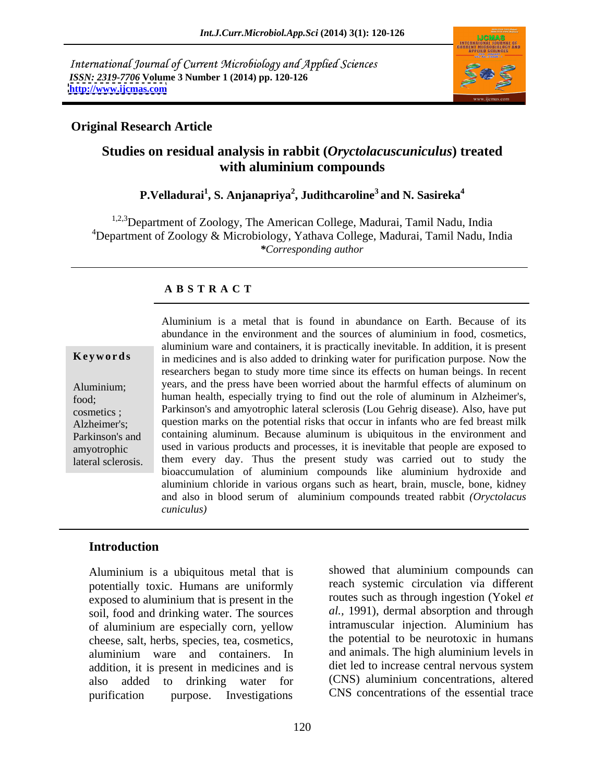International Journal of Current Microbiology and Applied Sciences *ISSN: 2319-7706* **Volume 3 Number 1 (2014) pp. 120-126 <http://www.ijcmas.com>**



## **Original Research Article**

# **Studies on residual analysis in rabbit (***Oryctolacuscuniculus***) treated with aluminium compounds**

**P.Velladurai<sup>1</sup> , S. Anjanapriya<sup>2</sup> , Judithcaroline3 and N. Sasireka4**

<sup>1,2,3</sup>Department of Zoology, The American College, Madurai, Tamil Nadu, India <sup>4</sup>Department of Zoology & Microbiology, Yathava College, Madurai, Tamil Nadu, India *\*Corresponding author*

## **A B S T R A C T**

**Keywords** in medicines and is also added to drinking water for purification purpose. Now the Aluminium; years, and the press have been worried about the harmful effects of aluminum on food; human health, especially trying to find out the role of aluminum in Alzheimer's, cosmetics ; Parkinson's and amyotrophic lateral sclerosis (Lou Gehrig disease). Also, have put Alzheimer's; question marks on the potential risks that occur in infants who are fed breast milk Parkinson's and containing aluminum. Because aluminum is ubiquitous in the environment and amyotrophic used in various products and processes, it is inevitable that people are exposed to Aluminium is a metal that is found in abundance on Earth. Because of its<br>
abundance in the environment and the sources of aluminium in food, cosmetics,<br>
aluminium ware and containers, it is practically inevitable. In addit abundance in the environment and the sources of aluminium in food, cosmetics, aluminium ware and containers, it is practically inevitable. In addition, it is present researchers began to study more time since its effects on human beings. In recent them every day. Thus the present study was carried out to study the bioaccumulation of aluminium compounds like aluminium hydroxide and aluminium chloride in various organs such as heart, brain, muscle, bone, kidney and also in blood serum of aluminium compounds treated rabbit *(Oryctolacus cuniculus)*

### **Introduction**

Aluminium is a ubiquitous metal that is potentially toxic. Humans are uniformly exposed to aluminium that is present in the soil, food and drinking water. The sources of aluminium are especially corn, yellow cheese, salt, herbs, species, tea, cosmetics, aluminium ware and containers. In addition, it is present in medicines and is also added to drinking water for (CNS) aluminium concentrations, altered purification purpose. Investigations CNS concentrations of the essential trace

showed that aluminium compounds can reach systemic circulation via different routes such as through ingestion (Yokel *et al.,* 1991), dermal absorption and through intramuscular injection. Aluminium has the potential to be neurotoxic in humans and animals. The high aluminium levels in diet led to increase central nervous system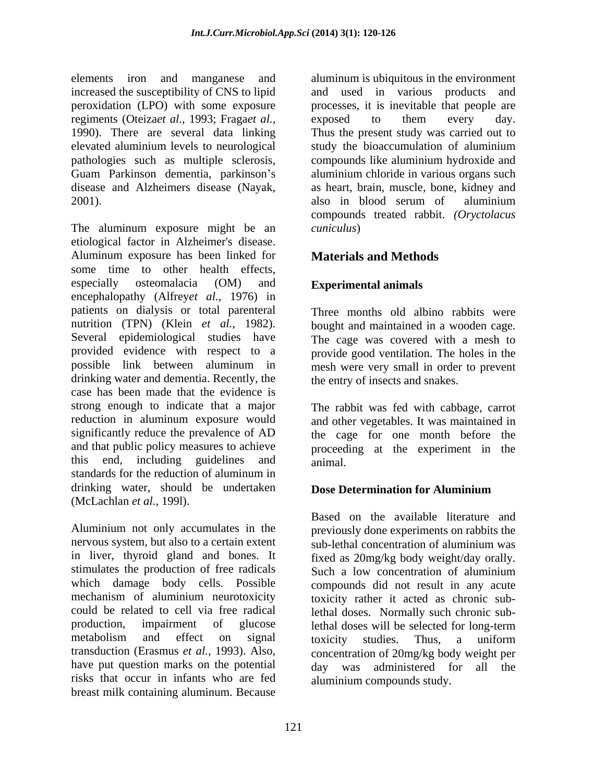increased the susceptibility of CNS to lipid regiments (Oteiza*et al.*, 1993; Fraga*et al.*, exposed to them every day.<br>1990). There are several data linking Thus the present study was carried out to 2001). also in blood serum of aluminium

etiological factor in Alzheimer's disease. Aluminum exposure has been linked for some time to other health effects, especially osteomalacia (OM) and **Experimental animals** encephalopathy (Alfrey*et al.,* 1976) in patients on dialysis or total parenteral nutrition (TPN) (Klein *et al.,* 1982). Several epidemiological studies have The cage was covered with a mesh to provided evidence with respect to a provide good ventilation. The holes in the possible link between aluminum in mesh were very small in order to prevent drinking water and dementia. Recently, the case has been made that the evidence is strong enough to indicate that a major The rabbit was fed with cabbage, carrot reduction in aluminum exposure would and other vegetables. It was maintained in significantly reduce the prevalence of AD the cage for one month before the and that public policy measures to achieve proceeding at the experiment in the this end, including guidelines and standards for the reduction of aluminum in drinking water, should be undertaken **Dose Determination for Aluminium** (McLachlan *et al.,* 199l).

Aluminium not only accumulates in the previously done experiments on rabbits the nervous system, but also to a certain extent sub-lethal concentration of aluminium was in liver, thyroid gland and bones. It fixed as 20mg/kg body weight/day orally. stimulates the production of free radicals Such a low concentration of aluminium which damage body cells. Possible compounds did not result in any acute mechanism of aluminium neurotoxicity toxicity rather it acted as chronic subcould be related to cell via free radical lethal doses. Normally such chronic subproduction, impairment of glucose lethal doses will be selected for long-term metabolism and effect on signal toxicity studies. Thus, a uniform transduction (Erasmus *et al.,* 1993). Also, concentration of 20mg/kg body weight per have put question marks on the potential risks that occur in infants who are fed breast milk containing aluminum. Because

elements iron and manganese and aluminum is ubiquitous in the environment peroxidation (LPO) with some exposure processes, it is inevitable that people are 1990). There are several data linking Thus the present study was carried out to elevated aluminium levels to neurological study the bioaccumulation of aluminium pathologies such as multiple sclerosis, compounds like aluminium hydroxide and Guam Parkinson dementia, parkinson's aluminium chloride in various organs such disease and Alzheimers disease (Nayak, as heart, brain, muscle, bone, kidney and compounds treated rabbit. (Oryctolacus<br>The aluminum exposure might be an *cuniculus*) and used in various products and exposed to them every day. also in blood serum of aluminium compounds treated rabbit. *(Oryctolacus cuniculus*)

# **Materials and Methods**

# **Experimental animals**

Three months old albino rabbits were bought and maintained in a wooden cage. the entry of insects and snakes.

animal.

## **Dose Determination for Aluminium**

Based on the available literature and sub-lethal concentration of aluminium was toxicity studies. Thus, a uniform day was administered for all the aluminium compounds study.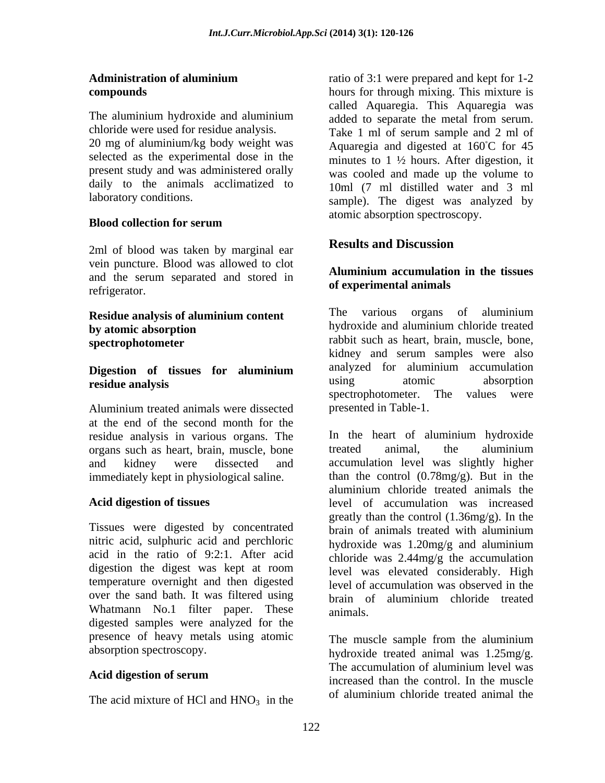20 mg of aluminium/kg body weight was selected as the experimental dose in the present study and was administered orally daily to the animals acclimatized to

### **Blood collection for serum** and the contract asserption specificity.

2ml of blood was taken by marginal ear **Results and Discussion** vein puncture. Blood was allowed to clot and the serum separated and stored in or experimental animals of experimental animals

Aluminium treated animals were dissected at the end of the second month for the residue analysis in various organs. The least of aluminium hydroxide organs such as heart brain muscle bone treated animal, the aluminium organs such as heart, brain, muscle, bone immediately kept in physiological saline.

Tissues were digested by concentrated brain of animals treated with aluminium nitric acid, sulphuric acid and perchloric hydroxide was 1.20mg/g and aluminium acid in the ratio of 9:2:1. After acid temperature overnight and then digested over the sand bath. It was filtered using brain of aluminium chloride treated Whatmann No.1 filter paper. These animals. digested samples were analyzed for the presence of heavy metals using atomic The muscle sample from the aluminium

The acid mixture of HCl and  $HNO<sub>3</sub>$  in the of aluminium chloride treated animal the

**Administration of aluminium**  ratio of 3:1 were prepared and kept for 1-2 **compounds** hours for through mixing. This mixture is The aluminium hydroxide and aluminium added to separate the metal from serum chloride were used for residue analysis. Take 1 ml of serum sample and 2 ml of laboratory conditions. sample). The digest was analyzed by called Aquaregia. This Aquaregia was added to separate the metal from serum. Aquaregia and digested at  $160^{\circ}$ C for 45 minutes to 1 ½ hours. After digestion, it was cooled and made up the volume to 10ml (7 ml distilled water and 3 ml atomic absorption spectroscopy.

# **Results and Discussion**

### **Aluminium accumulation in the tissues of experimental animals**

**Residue analysis of aluminium content** The various organs of aluminium by atomic absorption **by atomic absorption by atomic absorption spectrophotometer** rabbit such as heart, brain, muscle, bone, **Digestion of tissues for aluminium residue analysis residue analysis residue absorption** The various organs of aluminium kidney and serum samples were also analyzed for aluminium accumulation using atomic absorption spectrophotometer. The values were presented in Table-1.

and kidney were dissected and accumulation level was slightly higher **Acid digestion of tissues** level of accumulation was increased digestion the digest was kept at room level was elevated considerably. High In the heart of aluminium hydroxide treated animal, the aluminium than the control (0.78mg/g). But in the aluminium chloride treated animals the greatly than the control (1.36mg/g). In the brain of animals treated with aluminium hydroxide was 1.20mg/g and aluminium chloride was 2.44mg/g the accumulation level of accumulation was observed in the brain of aluminium chloride treated animals.

absorption spectroscopy. hydroxide treated animal was 1.25mg/g. Acid digestion of serum<br>increased than the control. In the muscle The muscle sample from the aluminium The accumulation of aluminium level was increased than the control. In the muscle of aluminium chloride treated animal the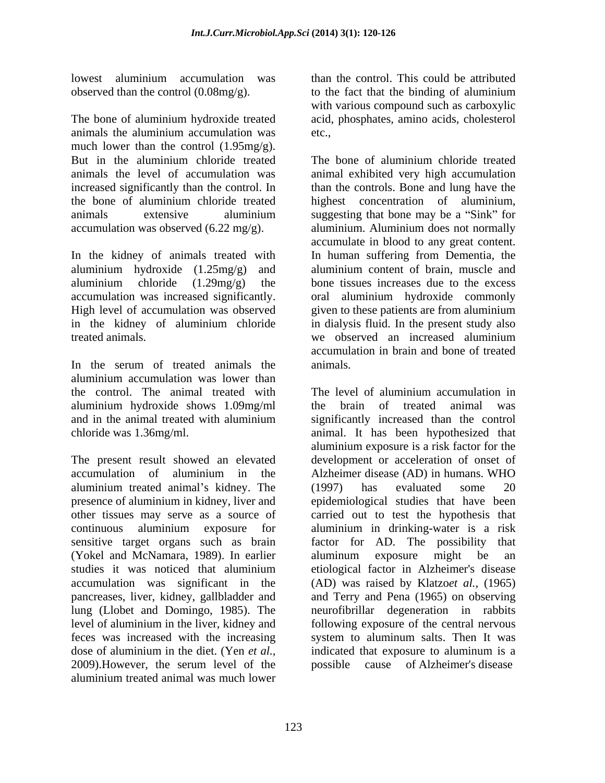observed than the control  $(0.08mg/g)$ . to the fact that the binding of aluminium

The bone of aluminium hydroxide treated acid, phosphates, amino acids, cholesterol animals the aluminium accumulation was much lower than the control (1.95mg/g). But in the aluminium chloride treated The bone of aluminium chloride treated animals the level of accumulation was animal exhibited very high accumulation increased significantly than the control. In the bone of aluminium chloride treated highest concentration of aluminium, animals extensive aluminium suggesting that bone may be a "Sink" for accumulation was observed (6.22 mg/g).

In the kidney of animals treated with aluminium hydroxide (1.25mg/g) and aluminium content of brain, muscle and aluminium chloride (1.29mg/g) the bone tissues increases due to the excess accumulation was increased significantly. oral aluminium hydroxide commonly High level of accumulation was observed given to these patients are from aluminium in the kidney of aluminium chloride in dialysis fluid. In the present study also treated animals. The same state of the served and increased aluminium

In the serum of treated animals the animals. aluminium accumulation was lower than the control. The animal treated with The level of aluminium accumulation in aluminium hydroxide shows 1.09mg/ml

aluminium treated animal's kidney. The (1997) has evaluated some 20 (Yokel and McNamara, 1989). In earlier lung (Llobet and Domingo, 1985). The level of aluminium in the liver, kidney and feces was increased with the increasing dose of aluminium in the diet. (Yen *et al.*, indicated that exposure to aluminum is a 2009). However, the serum level of the possible cause of Alzheimer's disease aluminium treated animal was much lower

lowest aluminium accumulation was than the control. This could be attributed than the control. This could be attributed to the fact that the binding of aluminium with various compound such as carboxylic etc.,

> The bone of aluminium chloride treated than the controls. Bone and lung have the aluminium. Aluminium does not normally accumulate in blood to any great content. In human suffering from Dementia, the aluminium content of brain, muscle and we observed an increased aluminium accumulation in brain and bone of treated animals.

and in the animal treated with aluminium significantly increased than the control chloride was 1.36mg/ml. animal. It has been hypothesized that The present result showed an elevated development or acceleration of onset of accumulation of aluminium in the Alzheimer disease (AD) in humans. WHO presence of aluminium in kidney, liver and epidemiological studies that have been other tissues may serve as a source of carried out to test the hypothesis that continuous aluminium exposure for aluminium in drinking-water is a risk sensitive target organs such as brain factor for AD. The possibility that studies it was noticed that aluminium accumulation was significant in the (AD) was raised by Klatzo*et al.,* (1965) pancreases, liver, kidney, gallbladder and and Terry and Pena (1965) on observing The level of aluminium accumulation in the brain of treated animal aluminium exposure is a risk factor for the (1997) has evaluated some 20 aluminum exposure might be an etiological factor in Alzheimer's disease neurofibrillar degeneration in rabbits following exposure of the central nervous system to aluminum salts. Then It was indicated that exposure to aluminum is a possible cause of Alzheimer's disease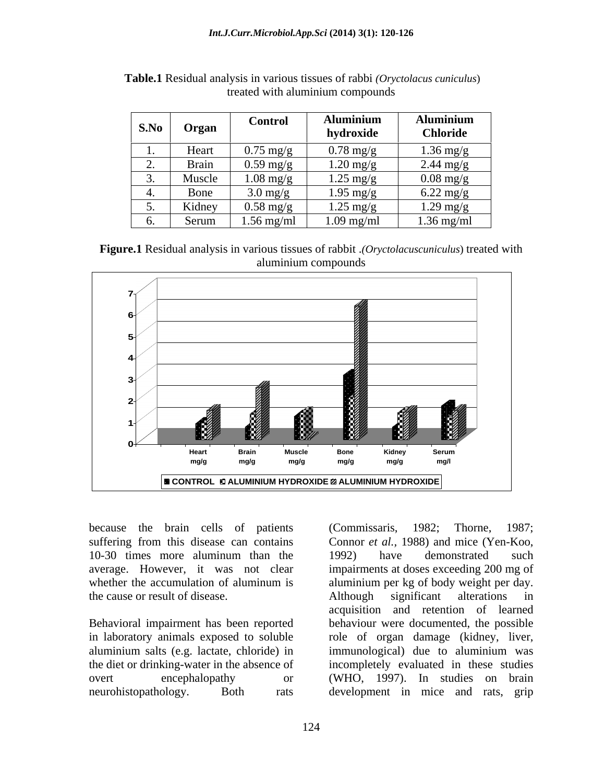|    | S.No Organ | <b>Control</b>                       | luminium            | <b>Aluminium</b>    |
|----|------------|--------------------------------------|---------------------|---------------------|
|    |            |                                      | hydroxide           | <b>Chloride</b>     |
|    | Heart      | $0.75 \text{ mg/g}$<br>$\sim$ $\sim$ | $0.78 \text{ mg/e}$ | $1.36$ mg/g         |
|    | Brain      | $0.59 \text{ mg/g}$<br>___           | $1.20 \text{ mg/g}$ | $2.44 \text{ mg/g}$ |
| ು. | Muscle     | $1.08 \text{ mg/g}$                  | $1.25 \text{ mg/g}$ | $0.08$ mg/g         |
|    | Bone       | $\Omega$ mg/                         | $1.95 \text{ mg/g}$ | $6.22 \text{ mg/g}$ |
| ຸ່ | Kidney     | $0.58 \text{ mg/g}$                  | $1.25 \text{ mg/g}$ | $1.29 \text{ mg/g}$ |
|    | Serum      | $1.56$ mg/ml                         | $1.09$ mg/ml        | $1.36$ mg/ml        |

**Table.1** Residual analysis in various tissues of rabbi *(Oryctolacus cuniculus*) treated with aluminium compounds

**Figure.1** Residual analysis in various tissues of rabbit .*(Oryctolacuscuniculus*) treated with aluminium compounds



because the brain cells of patients (Commissaris, 1982; Thorne, 1987; 10-30 times more aluminum than the 1992) have demonstrated such the cause or result of disease. Although significant alterations in

in laboratory animals exposed to soluble role of organ damage (kidney, liver, aluminium salts (e.g. lactate, chloride) in neurohistopathology. Both rats development in mice and rats, grip

suffering from this disease can contains Connor *et al.,* 1988) and mice (Yen-Koo, average. However, it was not clear impairments at doses exceeding 200 mg of whether the accumulation of aluminum is aluminium per kg of body weight per day. Behavioral impairment has been reported behaviour were documented, the possible the diet or drinking-water in the absence of incompletely evaluated in these studies overt encephalopathy or (WHO, 1997). In studies on brain (Commissaris, 1982; Thorne, 1987; 1992) have demonstrated such Although significant alterations in acquisition and retention of learned role of organ damage (kidney, liver,<br>immunological) due to aluminium was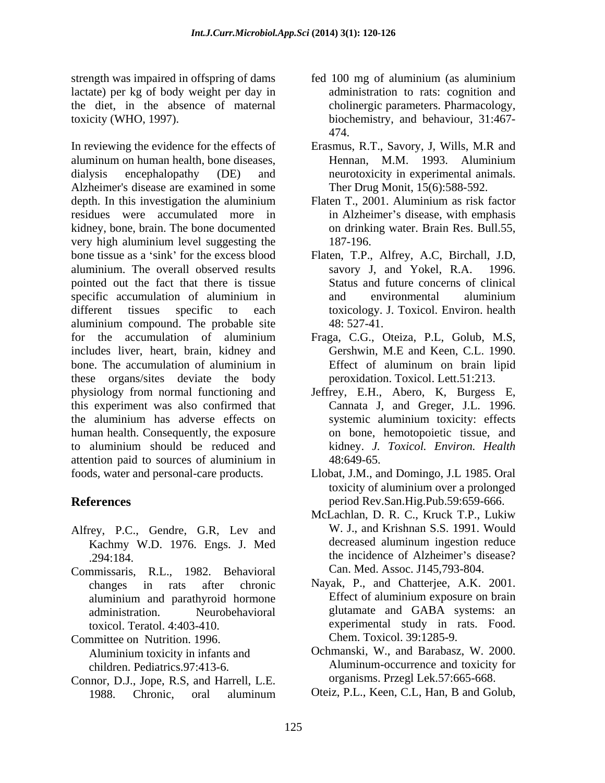strength was impaired in offspring of dams fed 100 mg of aluminium (as aluminium lactate) per kg of body weight per day in the diet, in the absence of maternal

In reviewing the evidence for the effects of Erasmus, R.T., Savory, J, Wills, M.R and aluminum on human health, bone diseases, dialysis encephalopathy (DE) and neurotoxicity in experimental animals. Alzheimer's disease are examined in some depth. In this investigation the aluminium Flaten T., 2001. Aluminium as risk factor residues were accumulated more in in Alzheimer's disease, with emphasis kidney, bone, brain. The bone documented very high aluminium level suggesting the 187-196. bone tissue as a 'sink' for the excess blood Flaten, T.P., Alfrey, A.C, Birchall, J.D, aluminium. The overall observed results pointed out the fact that there is tissue specific accumulation of aluminium in and environmental aluminium different tissues specific to each toxicology. J. Toxicol. Environ. health aluminium compound. The probable site 48:527-41. for the accumulation of aluminium Fraga, C.G., Oteiza, P.L, Golub, M.S, includes liver, heart, brain, kidney and bone. The accumulation of aluminium in these organs/sites deviate the body physiology from normal functioning and Jeffrey, E.H., Abero, K, Burgess E, this experiment was also confirmed that the aluminium has adverse effects on human health. Consequently, the exposure to aluminium should be reduced and attention paid to sources of aluminium in

- Alfrey, P.C., Gendre, G.R, Lev and W. J., and Krishnan S.S. 1991. Would<br>Kachmy W.D. 1976 Engs J. Med decreased aluminum ingestion reduce Kachmy W.D. 1976. Engs. J. Med
- Commissaris, R.L., 1982. Behavioral

Committee on Nutrition. 1996. Aluminium toxicity in infants and

Connor, D.J., Jope, R.S, and Harrell, L.E. 1988. Chronic, oral aluminum Oteiz, P.L., Keen, C.L., Han, B and Golub,

- toxicity (WHO, 1997). biochemistry, and behaviour, 31:467 administration to rats: cognition and cholinergic parameters. Pharmacology, 474.
	- Hennan, M.M. 1993. Aluminium Ther Drug Monit, 15(6):588-592.
	- Flaten T., 2001. Aluminium as risk factor on drinking water. Brain Res. Bull.55, 187-196.
	- savory J, and Yokel, R.A. Status and future concerns of clinical and environmental aluminium 48: 527-41.
	- Gershwin, M.E and Keen, C.L. 1990. Effect of aluminum on brain lipid peroxidation. Toxicol. Lett.51:213.
	- Cannata J, and Greger, J.L. 1996. systemic aluminium toxicity: effects on bone, hemotopoietic tissue, and kidney. *J. Toxicol. Environ. Health* 48:649-65.
- foods, water and personal-care products. Llobat, J.M., and Domingo, J.L 1985. Oral **References** period Rev.San.Hig.Pub.59:659-666. toxicity of aluminium over a prolonged
	- .294:184. the incidence of Alzheimer s disease? McLachlan, D. R. C., Kruck T.P., Lukiw W. J., and Krishnan S.S. 1991. Would decreased aluminum ingestion reduce Can. Med. Assoc. J145,793-804.
	- changes in rats after chronic Nayak, P., and Chatterjee, A.K. 2001. aluminium and parathyroid hormone administration. Neurobehavioral glutamate and GABA systems: an toxicol. Teratol. 4:403-410. experimental study in rats. Food. Effect of aluminium exposure on brain Chem. Toxicol. 39:1285-9.
	- children. Pediatrics.97:413-6. Aluminum-occurrence and toxicity for Ochmanski, W., and Barabasz, W. 2000. organisms. Przegl Lek.57:665-668.
		- Oteiz, P.L., Keen, C.L, Han, B and Golub,